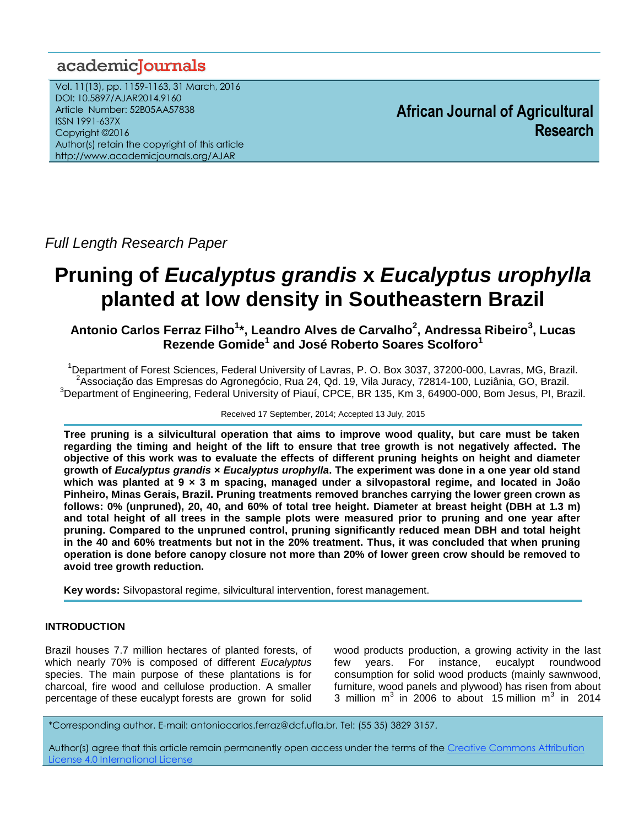# academicJournals

Vol. 11(13), pp. 1159-1163, 31 March, 2016 DOI: 10.5897/AJAR2014.9160 Article Number: 52B05AA57838 ISSN 1991-637X Copyright ©2016 Author(s) retain the copyright of this article http://www.academicjournals.org/AJAR

**African Journal of Agricultural Research**

*Full Length Research Paper*

# **Pruning of** *Eucalyptus grandis* **x** *Eucalyptus urophylla* **planted at low density in Southeastern Brazil**

# **Antonio Carlos Ferraz Filho<sup>1</sup> \*, Leandro Alves de Carvalho<sup>2</sup> , Andressa Ribeiro<sup>3</sup> , Lucas Rezende Gomide<sup>1</sup> and José Roberto Soares Scolforo<sup>1</sup>**

<sup>1</sup>Department of Forest Sciences, Federal University of Lavras, P. O. Box 3037, 37200-000, Lavras, MG, Brazil.  $^2$ Associação das Empresas do Agronegócio, Rua 24, Qd. 19, Vila Juracy, 72814-100, Luziânia, GO, Brazil.  ${}^{3}$ Department of Engineering, Federal University of Piauí, CPCE, BR 135, Km 3, 64900-000, Bom Jesus, PI, Brazil.

Received 17 September, 2014; Accepted 13 July, 2015

**Tree pruning is a silvicultural operation that aims to improve wood quality, but care must be taken regarding the timing and height of the lift to ensure that tree growth is not negatively affected. The objective of this work was to evaluate the effects of different pruning heights on height and diameter growth of** *Eucalyptus grandis* **×** *Eucalyptus urophylla***. The experiment was done in a one year old stand which was planted at 9 × 3 m spacing, managed under a silvopastoral regime, and located in João Pinheiro, Minas Gerais, Brazil. Pruning treatments removed branches carrying the lower green crown as follows: 0% (unpruned), 20, 40, and 60% of total tree height. Diameter at breast height (DBH at 1.3 m) and total height of all trees in the sample plots were measured prior to pruning and one year after pruning. Compared to the unpruned control, pruning significantly reduced mean DBH and total height in the 40 and 60% treatments but not in the 20% treatment. Thus, it was concluded that when pruning operation is done before canopy closure not more than 20% of lower green crow should be removed to avoid tree growth reduction.**

**Key words:** Silvopastoral regime, silvicultural intervention, forest management.

# **INTRODUCTION**

Brazil houses 7.7 million hectares of planted forests, of which nearly 70% is composed of different *Eucalyptus*  species. The main purpose of these plantations is for charcoal, fire wood and cellulose production. A smaller percentage of these eucalypt forests are grown for solid wood products production, a growing activity in the last few years. For instance, eucalypt roundwood consumption for solid wood products (mainly sawnwood, furniture, wood panels and plywood) has risen from about 3 million  $m^3$  in 2006 to about 15 million  $m^3$  in 2014

\*Corresponding author. E-mail: antoniocarlos.ferraz@dcf.ufla.br. Tel: (55 35) 3829 3157.

Author(s) agree that this article remain permanently open access under the terms of th[e Creative Commons Attribution](http://creativecommons.org/licenses/by/4.0/deed.en_US)  [License 4.0 International License](http://creativecommons.org/licenses/by/4.0/deed.en_US)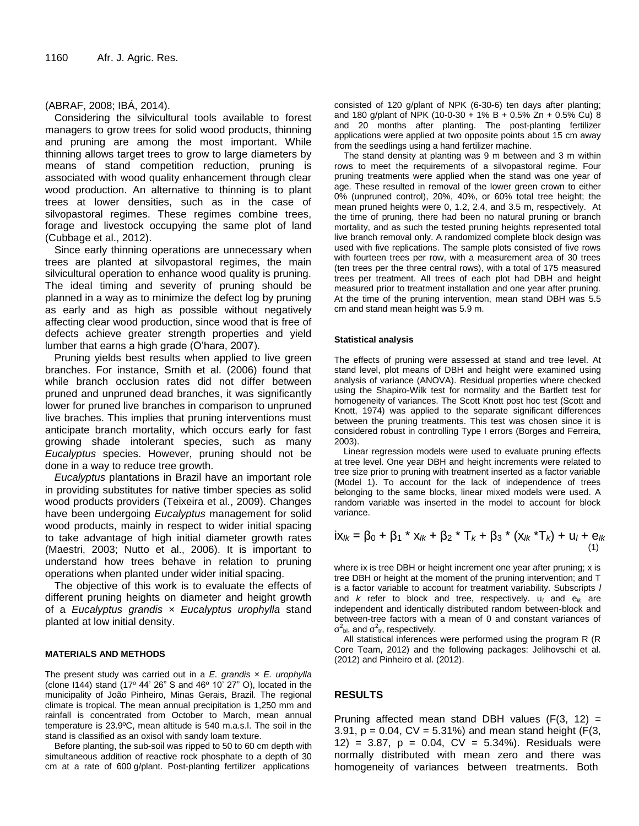# (ABRAF, 2008; IBÁ, 2014).

Considering the silvicultural tools available to forest managers to grow trees for solid wood products, thinning and pruning are among the most important. While thinning allows target trees to grow to large diameters by means of stand competition reduction, pruning is associated with wood quality enhancement through clear wood production. An alternative to thinning is to plant trees at lower densities, such as in the case of silvopastoral regimes. These regimes combine trees, forage and livestock occupying the same plot of land (Cubbage et al., 2012).

Since early thinning operations are unnecessary when trees are planted at silvopastoral regimes, the main silvicultural operation to enhance wood quality is pruning. The ideal timing and severity of pruning should be planned in a way as to minimize the defect log by pruning as early and as high as possible without negatively affecting clear wood production, since wood that is free of defects achieve greater strength properties and yield lumber that earns a high grade (O'hara, 2007).

Pruning yields best results when applied to live green branches. For instance, Smith et al. (2006) found that while branch occlusion rates did not differ between pruned and unpruned dead branches, it was significantly lower for pruned live branches in comparison to unpruned live braches. This implies that pruning interventions must anticipate branch mortality, which occurs early for fast growing shade intolerant species, such as many *Eucalyptus* species. However, pruning should not be done in a way to reduce tree growth.

*Eucalyptus* plantations in Brazil have an important role in providing substitutes for native timber species as solid wood products providers (Teixeira et al., 2009). Changes have been undergoing *Eucalyptus* management for solid wood products, mainly in respect to wider initial spacing to take advantage of high initial diameter growth rates (Maestri, 2003; Nutto et al., 2006). It is important to understand how trees behave in relation to pruning operations when planted under wider initial spacing.

The objective of this work is to evaluate the effects of different pruning heights on diameter and height growth of a *Eucalyptus grandis* × *Eucalyptus urophylla* stand planted at low initial density.

# **MATERIALS AND METHODS**

The present study was carried out in a *E. grandis* × *E. urophylla* (clone I144) stand (17º 44' 26" S and 46º 10' 27" O), located in the municipality of João Pinheiro, Minas Gerais, Brazil. The regional climate is tropical. The mean annual precipitation is 1,250 mm and rainfall is concentrated from October to March, mean annual temperature is 23.9ºC, mean altitude is 540 m.a.s.l. The soil in the stand is classified as an oxisol with sandy loam texture.

Before planting, the sub-soil was ripped to 50 to 60 cm depth with simultaneous addition of reactive rock phosphate to a depth of 30 cm at a rate of 600 g/plant. Post-planting fertilizer applications

consisted of 120 g/plant of NPK (6-30-6) ten days after planting; and 180 g/plant of NPK (10-0-30 + 1% B + 0.5% Zn + 0.5% Cu) 8 and 20 months after planting. The post-planting fertilizer applications were applied at two opposite points about 15 cm away from the seedlings using a hand fertilizer machine.

The stand density at planting was 9 m between and 3 m within rows to meet the requirements of a silvopastoral regime. Four pruning treatments were applied when the stand was one year of age. These resulted in removal of the lower green crown to either 0% (unpruned control), 20%, 40%, or 60% total tree height; the mean pruned heights were 0, 1.2, 2.4, and 3.5 m, respectively. At the time of pruning, there had been no natural pruning or branch mortality, and as such the tested pruning heights represented total live branch removal only. A randomized complete block design was used with five replications. The sample plots consisted of five rows with fourteen trees per row, with a measurement area of 30 trees (ten trees per the three central rows), with a total of 175 measured trees per treatment. All trees of each plot had DBH and height measured prior to treatment installation and one year after pruning. At the time of the pruning intervention, mean stand DBH was 5.5 cm and stand mean height was 5.9 m.

#### **Statistical analysis**

The effects of pruning were assessed at stand and tree level. At stand level, plot means of DBH and height were examined using analysis of variance (ANOVA). Residual properties where checked using the Shapiro-Wilk test for normality and the Bartlett test for homogeneity of variances. The Scott Knott post hoc test (Scott and Knott, 1974) was applied to the separate significant differences between the pruning treatments. This test was chosen since it is considered robust in controlling Type I errors (Borges and Ferreira, 2003).

Linear regression models were used to evaluate pruning effects at tree level. One year DBH and height increments were related to tree size prior to pruning with treatment inserted as a factor variable (Model 1). To account for the lack of independence of trees belonging to the same blocks, linear mixed models were used. A random variable was inserted in the model to account for block variance.

$$
ix_{1k} = \beta_0 + \beta_1 * x_{1k} + \beta_2 * T_k + \beta_3 * (x_{1k} * T_k) + u_1 + e_{1k}
$$
<sup>(1)</sup>

where ix is tree DBH or height increment one year after pruning; x is tree DBH or height at the moment of the pruning intervention; and T is a factor variable to account for treatment variability. Subscripts *l* and *k* refer to block and tree, respectively. u*<sup>l</sup>* and e*lk* are independent and identically distributed random between-block and between-tree factors with a mean of 0 and constant variances of σ<sup>2</sup><sub>bl</sub>, and σ<sup>2</sup><sub>tr</sub>, respectively.

All statistical inferences were performed using the program R (R Core Team, 2012) and the following packages: Jelihovschi et al. (2012) and Pinheiro et al. (2012).

# **RESULTS**

Pruning affected mean stand DBH values  $(F(3, 12) =$ 3.91,  $p = 0.04$ ,  $CV = 5.31\%$ ) and mean stand height (F(3, 12) = 3.87,  $p = 0.04$ ,  $CV = 5.34\%$ . Residuals were normally distributed with mean zero and there was homogeneity of variances between treatments. Both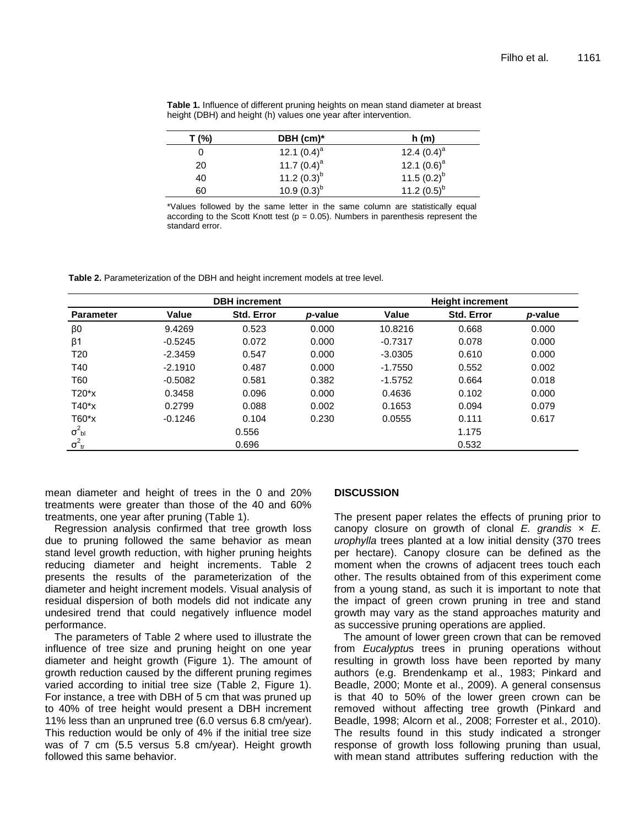**Table 1.** Influence of different pruning heights on mean stand diameter at breast height (DBH) and height (h) values one year after intervention.

| T (%) | DBH (cm)*        | h(m)             |
|-------|------------------|------------------|
|       | 12.1 $(0.4)^a$   | 12.4 $(0.4)^a$   |
| 20    | 11.7 $(0.4)^a$   | 12.1 $(0.6)^a$   |
| 40    | 11.2 $(0.3)^{b}$ | 11.5 $(0.2)^{b}$ |
| 60    | 10.9 $(0.3)^{b}$ | 11.2 $(0.5)^{b}$ |

\*Values followed by the same letter in the same column are statistically equal according to the Scott Knott test ( $p = 0.05$ ). Numbers in parenthesis represent the standard error.

**Table 2.** Parameterization of the DBH and height increment models at tree level.

| <b>Parameter</b>        | <b>DBH</b> increment |                   |                 | <b>Height increment</b> |                   |         |
|-------------------------|----------------------|-------------------|-----------------|-------------------------|-------------------|---------|
|                         | Value                | <b>Std. Error</b> | <i>p</i> -value | Value                   | <b>Std. Error</b> | p-value |
| βO                      | 9.4269               | 0.523             | 0.000           | 10.8216                 | 0.668             | 0.000   |
| $\beta$ 1               | $-0.5245$            | 0.072             | 0.000           | $-0.7317$               | 0.078             | 0.000   |
| T <sub>20</sub>         | $-2.3459$            | 0.547             | 0.000           | $-3.0305$               | 0.610             | 0.000   |
| T40                     | $-2.1910$            | 0.487             | 0.000           | $-1.7550$               | 0.552             | 0.002   |
| T60                     | $-0.5082$            | 0.581             | 0.382           | $-1.5752$               | 0.664             | 0.018   |
| $T20^{\star}x$          | 0.3458               | 0.096             | 0.000           | 0.4636                  | 0.102             | 0.000   |
| $T40^{\star}$ x         | 0.2799               | 0.088             | 0.002           | 0.1653                  | 0.094             | 0.079   |
| $T60^{\star}$ x         | $-0.1246$            | 0.104             | 0.230           | 0.0555                  | 0.111             | 0.617   |
| $\sigma^2_{bl}$         |                      | 0.556             |                 |                         | 1.175             |         |
| $\sigma^2_{\text{ tr}}$ |                      | 0.696             |                 |                         | 0.532             |         |

mean diameter and height of trees in the 0 and 20% treatments were greater than those of the 40 and 60% treatments, one year after pruning (Table 1).

Regression analysis confirmed that tree growth loss due to pruning followed the same behavior as mean stand level growth reduction, with higher pruning heights reducing diameter and height increments. Table 2 presents the results of the parameterization of the diameter and height increment models. Visual analysis of residual dispersion of both models did not indicate any undesired trend that could negatively influence model performance.

The parameters of Table 2 where used to illustrate the influence of tree size and pruning height on one year diameter and height growth (Figure 1). The amount of growth reduction caused by the different pruning regimes varied according to initial tree size (Table 2, Figure 1). For instance, a tree with DBH of 5 cm that was pruned up to 40% of tree height would present a DBH increment 11% less than an unpruned tree (6.0 versus 6.8 cm/year). This reduction would be only of 4% if the initial tree size was of 7 cm (5.5 versus 5.8 cm/year). Height growth followed this same behavior.

# **DISCUSSION**

The present paper relates the effects of pruning prior to canopy closure on growth of clonal *E. grandis* × *E. urophylla* trees planted at a low initial density (370 trees per hectare). Canopy closure can be defined as the moment when the crowns of adjacent trees touch each other. The results obtained from of this experiment come from a young stand, as such it is important to note that the impact of green crown pruning in tree and stand growth may vary as the stand approaches maturity and as successive pruning operations are applied.

The amount of lower green crown that can be removed from *Eucalyptu*s trees in pruning operations without resulting in growth loss have been reported by many authors (e.g. Brendenkamp et al., 1983; Pinkard and Beadle, 2000; Monte et al., 2009). A general consensus is that 40 to 50% of the lower green crown can be removed without affecting tree growth (Pinkard and Beadle, 1998; Alcorn et al., 2008; Forrester et al., 2010). The results found in this study indicated a stronger response of growth loss following pruning than usual, with mean stand attributes suffering reduction with the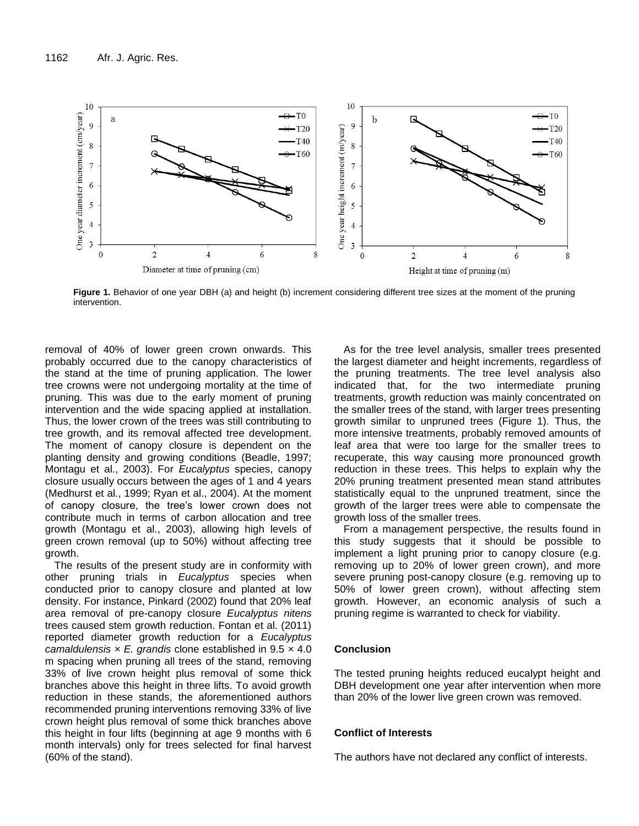

Figure 1. Behavior of one year DBH (a) and height (b) increment considering different tree sizes at the moment of the pruning intervention.

removal of 40% of lower green crown onwards. This probably occurred due to the canopy characteristics of the stand at the time of pruning application. The lower tree crowns were not undergoing mortality at the time of pruning. This was due to the early moment of pruning intervention and the wide spacing applied at installation. Thus, the lower crown of the trees was still contributing to tree growth, and its removal affected tree development. The moment of canopy closure is dependent on the planting density and growing conditions (Beadle, 1997; Montagu et al., 2003). For *Eucalyptus* species, canopy closure usually occurs between the ages of 1 and 4 years (Medhurst et al., 1999; Ryan et al., 2004). At the moment of canopy closure, the tree's lower crown does not contribute much in terms of carbon allocation and tree growth (Montagu et al., 2003), allowing high levels of green crown removal (up to 50%) without affecting tree growth.

The results of the present study are in conformity with other pruning trials in *Eucalyptus* species when conducted prior to canopy closure and planted at low density. For instance, Pinkard (2002) found that 20% leaf area removal of pre-canopy closure *Eucalyptus nitens* trees caused stem growth reduction. Fontan et al. (2011) reported diameter growth reduction for a *Eucalyptus camaldulensis* × *E. grandis* clone established in 9.5 × 4.0 m spacing when pruning all trees of the stand, removing 33% of live crown height plus removal of some thick branches above this height in three lifts. To avoid growth reduction in these stands, the aforementioned authors recommended pruning interventions removing 33% of live crown height plus removal of some thick branches above this height in four lifts (beginning at age 9 months with 6 month intervals) only for trees selected for final harvest (60% of the stand).

As for the tree level analysis, smaller trees presented the largest diameter and height increments, regardless of the pruning treatments. The tree level analysis also indicated that, for the two intermediate pruning treatments, growth reduction was mainly concentrated on the smaller trees of the stand, with larger trees presenting growth similar to unpruned trees (Figure 1). Thus, the more intensive treatments, probably removed amounts of leaf area that were too large for the smaller trees to recuperate, this way causing more pronounced growth reduction in these trees. This helps to explain why the 20% pruning treatment presented mean stand attributes statistically equal to the unpruned treatment, since the growth of the larger trees were able to compensate the growth loss of the smaller trees.

From a management perspective, the results found in this study suggests that it should be possible to implement a light pruning prior to canopy closure (e.g. removing up to 20% of lower green crown), and more severe pruning post-canopy closure (e.g. removing up to 50% of lower green crown), without affecting stem growth. However, an economic analysis of such a pruning regime is warranted to check for viability.

# **Conclusion**

The tested pruning heights reduced eucalypt height and DBH development one year after intervention when more than 20% of the lower live green crown was removed.

# **Conflict of Interests**

The authors have not declared any conflict of interests.